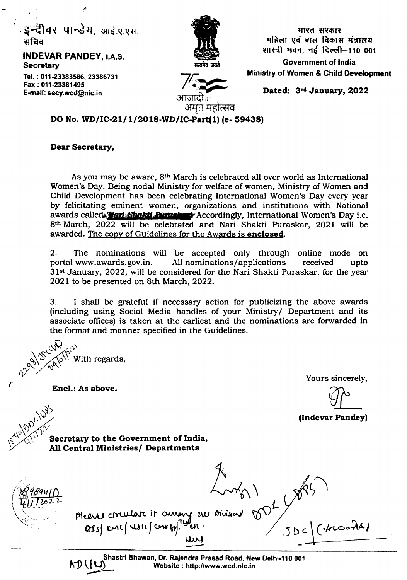. **इन्दीवर पान्डेय**, आई.ए.एस. सचिव

INDEVAR PANDEY, I.A.S. **Secretary** 

Tel. : 011-23383586, 23386731 Fax; 011-23381495 E-mail: secy.wcd@nic.in



पारत सरकार $\overline{\phantom{a}}$ महिला एवं बाल विकास मंत्रालय शास्त्री भवन, नई दिल्ली-110 001 Government of India

Ministry of Women & Child Development

*71:..... I··i~""m* "-pi आज़ादाक अमत महात्सव

Dated: 3rd January, 2022

DO No. WD/IC-21/1/2018-WD/IC-Part(1) (e- 59438)

#### Dear Secretary,

As you may be aware, 8<sup>th</sup> March is celebrated all over world as International Women's Day. Being nodal Ministry for welfare of women, Ministry of Women and Child Development has been celebrating International Women's Day *every* year by felicitating eminent women. organizations and institutions with National awards called **Nan Shakti Purasher** Accordingly, International Women's Day i.e. 8th March, 2022 will be celebrated and Nari Shakti Puraskar, 2021 will be awarded. The copy of Guidelines for the Awards is enclosed.

2. The nominations will be accepted only through online mode on portal www.awards.gov.in, All nominations/applications received upto 31st January, 2022, will be considered for the Nari Shakti Puraskar, for the year 2021 to be presented on 8th March, 2022.

3. I shall be grateful if necessary action for publicizing the above awards (including using Social Media handles of your Ministry/Department and its associate offices) is taken at the earliest and the nominations arc forwarded in the format and manner specified in the Guidelines.

 $\omega_{\alpha}$ p With regards,  $\sim$   $\times$  0 *ry*

Encl.: As above.

Yours sincerely,

(Indevar Pandey)

~)\)~ "W

 $\sqrt{2}$ 

Secretary to the Government of India, All Central Ministries/ Departments

 $y^{0.9}$ <br>The (AusonA) please circulare it current all Divisions ren

~ f Shastri Bhawan, Dr. Rajendra Prasad Road, New Delhi-110 001 Website: http://www.wcd.nlc.in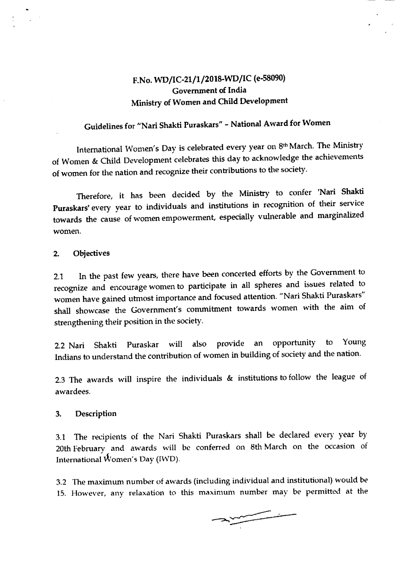## F.No. WD/IC-21/1/2018-WD/IC (e-58090) Government of India Ministry of Women and Child Development

# Guidelines for "Nari Shakti Puraskars" - National Award for Women

International Women's Day is celebrated every year on 8<sup>th</sup> March. The Ministry of Women & Child Development celebrates this day to acknowledge the achievements of women for the nation and recognize their contributions to the society.

Therefore, it has been decided by the Ministry to confer 'Nari Shakti Puraskars' every year to individuals and institutions in recognition of their service towards the cause of women empowerment, especially vulnerable and marginalized women.

#### 2. Objectives

2.1 In the past few years, there have been concerted efforts by the Government to recognize and encourage women to participate in all spheres and issues related to women have gained utmost importance and focused attention. "Nari Shakti Puraskars" shall showcase the Government's commitment towards women with the aim of strengthening their position in the society.

2.2 Nari Shakti Puraskar will also provide an opportunity to Young Indians to understand the contribution of women in building of society and the nation.

2.3 The awards will inspire the individuals & institutions to follow the league of awardees.

#### 3. Description

3.1 The recipients of the Nari Shakti Puraskars shall be declared every year by 20th February and awards will be conferred on 8th March on the occasion of International  $\vec{W}$ omen's Day (IWD).

3.2 The maximum number of awards (including individual and institutional) would be 15. However, any relaxation to this maximum number may be permitted at the

 $\begin{picture}(20,20) \put(0,0){\vector(1,0){10}} \put(15,0){\vector(1,0){10}} \put(15,0){\vector(1,0){10}} \put(15,0){\vector(1,0){10}} \put(15,0){\vector(1,0){10}} \put(15,0){\vector(1,0){10}} \put(15,0){\vector(1,0){10}} \put(15,0){\vector(1,0){10}} \put(15,0){\vector(1,0){10}} \put(15,0){\vector(1,0){10}} \put(15,0){\vector(1,0){10}} \put(15,0){\vector(1$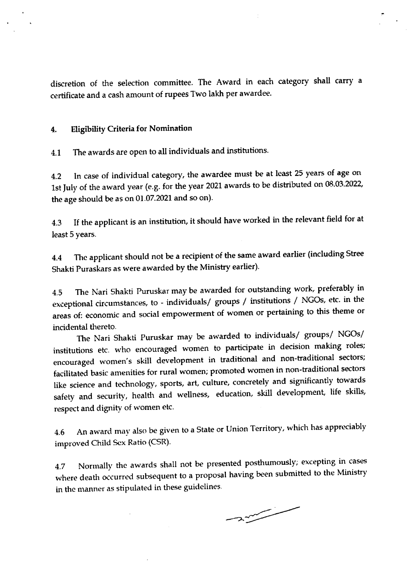discretion of the selection committee. The Award in each category shall carry a certificate and a cash amount of rupees Two lakh per awardee.

#### 4. Eligibility Criteria for Nomination

4.1 The awards are open to all individuals and institutions.

4.2 In case of individual category, the awardee must be at least 25 years of age on 1st July of the award year (e.g. for the year 2021 awards to be distributed on 08.03.2022, the age should be as on 01.07.2021 and so on).

4.3 If the applicant is an institution, it should have worked in the relevant field for at least 5 years.

4.4 The applicant should not be a recipient of the same award earlier (including Stree Shakti Puraskars as were awarded by the Ministry earlier).

4.5 The Nari Shakti Puruskar may be awarded for outstanding work, preferably in exceptional circumstances, to - individuals/ groups / institutions / NGOs, etc. in the areas of: economic and social empowerment of women or pertaining to this theme or incidental thereto.

The Nari Shakti Puruskar may be awarded to individuals/ groups/ NGOs/ institutions etc. who encouraged women to participate in decision making roles; encouraged women's skill development in traditional and non-traditional sectors; facilitated basic amenities for rural women; promoted women in non-traditional sectors like science and technology, sports, art, culture, concretely and significantly towards safety and security, health and wellness, education, skill development, life skills, respect and dignity of women etc.

4.6 An award may also be given to a State or Union Territory, which has appreciably improved Child Sex Ratio (CSR).

4.7 Normally the awards shall not be presented posthumously; excepting in cases where death occurred subsequent to a proposal having been submitted to the Ministry in the manner as stipulated in these guidelines.

 $\overline{\phantom{a}}$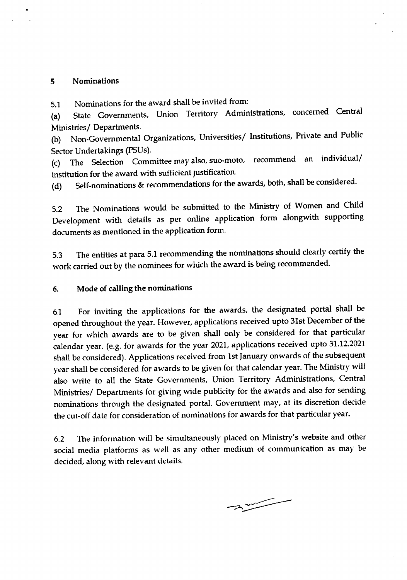#### 5 Nominations

5.1 Nominations for the award shall be invited from:

(a) State Governments, Union Territory Administrations, concerned Central Ministries/ Departments.

(b) Non-Governmental Organizations, Universities/ Institutions, Private and Public Sector Undertakings (PSUs).

(c) The Selection Committee may also, suo-mote, recommend an individual/ institution for the award with sufficient justification.

(d) Self-nominations & recommendations for the awards, both, shall be considered.

5.2 The Nominations would be submitted to the Ministry of Women and Child Development with details as per online application form alongwith supporting documents as mentioned in the application form.

5.3 The entities at para 5.1 recommending the nominations should clearly certify the work carried out by the nominees for which the award is being recommended.

#### 6. Mode of calling the nominations

6.1 For inviting the applications for the awards, the designated portal shall be opened throughout the year. However, applications received upto 31st December of the year for which awards are to be given shall only be considered for that particular calendar year. (e.g. for awards for the year 2021, applications received upto 31.12.2021 shall be considered), Applications received from 1st January onwards of the subsequent year shall be considered for awards to be given for that calendar year. The Ministry will also write to all the State Governments, Union Territory Administrations, Central Ministries/ Departments for giving wide publicity for the awards and also for sending nominations through the designated portal. Government may, at its discretion decide the cut-off date for consideration of nominations for awards for that particular year.

6.2 The information will be simultaneously placed on Ministry's website and other social media platforms as well as any other medium of communication as may be decided, along with relevant details.

 $\frac{1}{2}$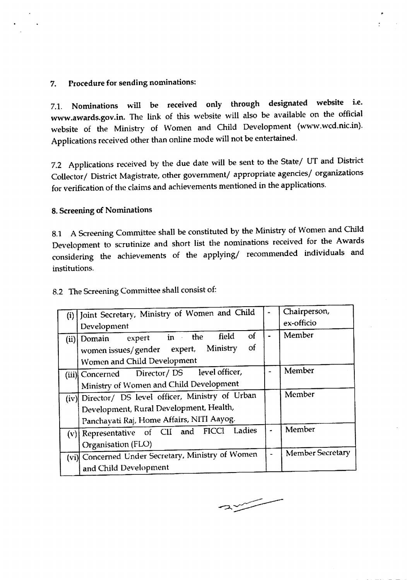#### 7. Procedure for sending nominations:

7.1. Nominations will be received only through designated website i.e. www.awards.gov.in. The link of this website will also be available on the official website of the Ministry of Women and Child Development (www.wcd.nic.in). Applications received other than online mode will not be entertained.

7.2 Applications received by the due date will be sent to the State/ UT and District Collector/ District Magistrate, other government/ appropriate agencies/ organizations for verification of the claims and achievements mentioned in the applications.

### 8. Screening of Nominations

8.1 A Screening Committee shall be constituted by the Ministry of Women and Child Development to scrutinize and short list the nominations received for the Awards considering the achievements of the applying/ recommended individuals and institutions.

|  | 8.2 The Screening Committee shall consist of: |  |  |
|--|-----------------------------------------------|--|--|
|--|-----------------------------------------------|--|--|

| (i) | Joint Secretary, Ministry of Women and Child                                                                                               |                       | Chairperson,            |
|-----|--------------------------------------------------------------------------------------------------------------------------------------------|-----------------------|-------------------------|
|     | Development                                                                                                                                |                       | ex-officio              |
|     | field<br>οf<br>expert in the<br>$(ii)$ Domain<br>οf<br>Ministry<br>women issues/gender<br>expert,<br>Women and Child Development           |                       | Member                  |
|     | Director/DS level officer,<br>(iii) Concerned<br>Ministry of Women and Child Development                                                   |                       | Member                  |
|     | (iv) Director/ DS level officer, Ministry of Urban<br>Development, Rural Development, Health,<br>Panchayati Raj, Home Affairs, NITI Aayog. |                       | Member                  |
|     | Ladies<br>(v) Representative of CII and FICCI<br>Organisation (FLO)                                                                        |                       | Member                  |
|     | (vi) Concerned Under Secretary, Ministry of Women<br>and Child Development                                                                 | $\tilde{\phantom{a}}$ | <b>Member Secretary</b> |

 $\sim$ 

------------ -- - - -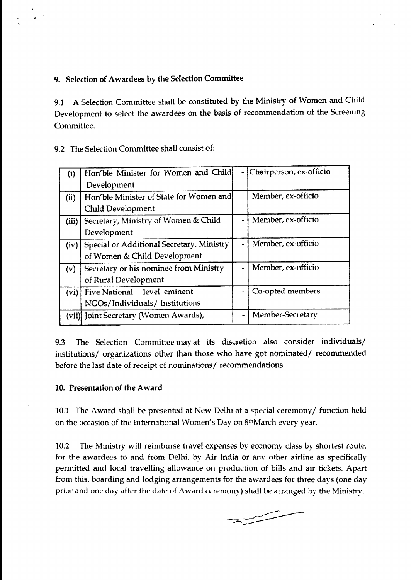### 9. Selection of Awardees by the Selection Committee

9.1 A Selection Committee shall be constituted by the Ministry of Women and Child Development to select the awardees on the basis of recommendation of the Screening Committee.

9.2 The Selection Committee shall consist of:

| (i)   | Hon'ble Minister for Women and Child<br>Development                       | ÷  | Chairperson, ex-officio |
|-------|---------------------------------------------------------------------------|----|-------------------------|
| (ii)  | Hon'ble Minister of State for Women and<br>Child Development              |    | Member, ex-officio      |
| (iii) | Secretary, Ministry of Women & Child<br>Development                       |    | Member, ex-officio      |
| (iv)  | Special or Additional Secretary, Ministry<br>of Women & Child Development |    | Member, ex-officio      |
| (v)   | Secretary or his nominee from Ministry<br>of Rural Development            | a, | Member, ex-officio      |
| (vi)  | Five National level eminent<br>NGOs/Individuals/ Institutions             |    | Co-opted members        |
|       | (vii) Joint Secretary (Women Awards),                                     | -  | Member-Secretary        |

9.3 The Selection Committee may at its discretion also consider individuals/ institutions/ organizations other than those who have got nominated/ recommended before the last date of receipt of nominations/ recommendations.

#### 10. Presentation of the Award

10.1 The Award shall be presented at New Delhi at a special ceremony/function held on the occasion of the International Women's Day on 8th March every year.

10.2 The Ministry will reimburse travel expenses by economy class by shortest route, for the awardees to and from Delhi, by Air India or any other airline as specifically permitted and local travelling allowance on production of bills and air tickets. Apart from this, boarding and lodging arrangements for the awardees for three days (one day prior and one day after the date of Award ceremony) shall be arranged by the Ministry.

 $\rightarrow \rightarrow \rightarrow$